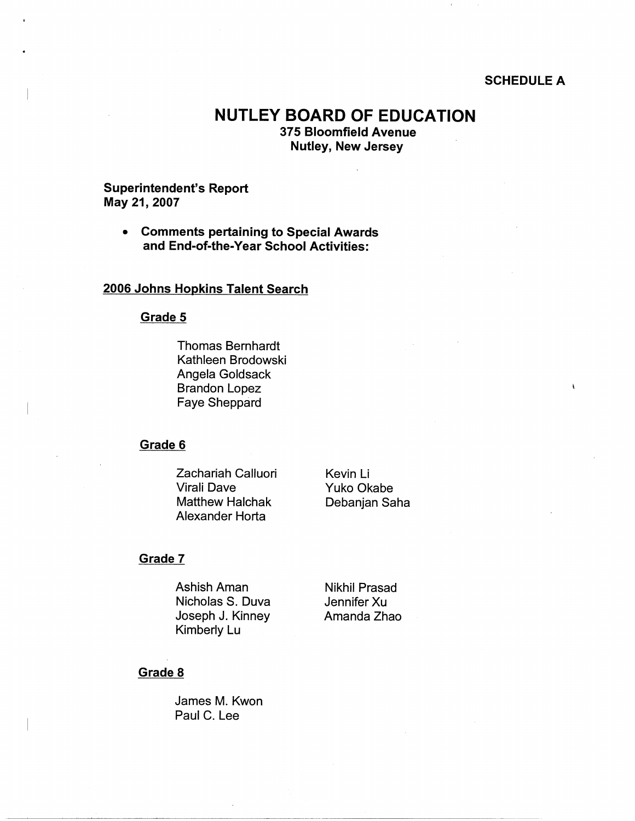#### **SCHEDULE A**

 $\mathbf{r}$ 

# **NUTLEY BOARD OF EDUCATION**

**375 Bloomfield Avenue Nutley, New Jersey** 

## **Superintendent's Report May 21, 2007**

• **Comments pertaining to Special Awards and End-of-the-Year School Activities:** 

# **2006 Johns Hopkins Talent Search**

#### **Grade 5**

Thomas Bernhardt Kathleen Brodowski Angela Goldsack Brandon Lopez Faye Sheppard

## **Grade 6**

Zachariah Calluori Virali Dave Matthew Halchak Alexander Horta

Kevin Li Yuko Okabe Debanjan Saha

#### **Grade 7**

Ashish Aman Nicholas S. Duva Joseph J. Kinney Kimberly Lu

Nikhil Prasad Jennifer Xu Amanda Zhao

#### **Grade 8**

James M. Kwon Paul C. Lee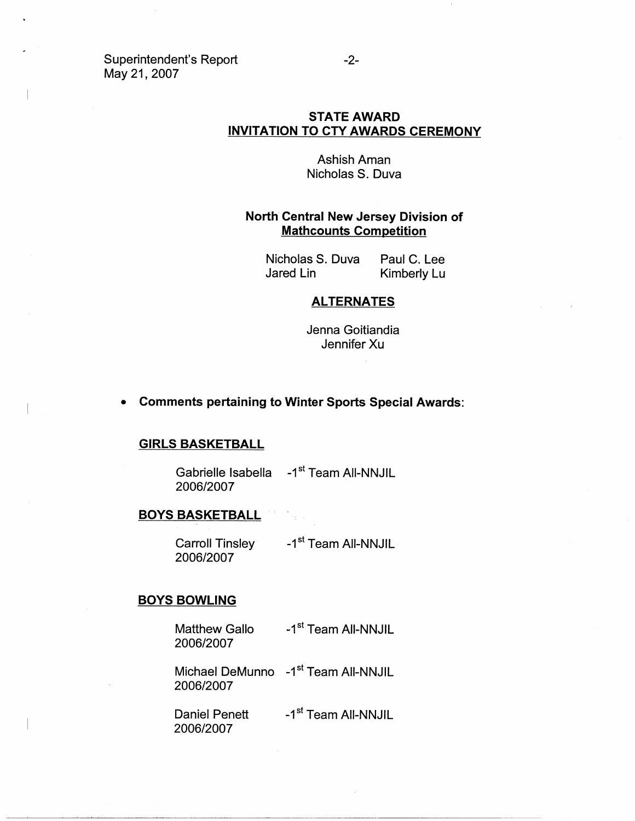Superintendent's Report May 21, 2007

## **STATE AWARD INVITATION TO CTY AWARDS CEREMONY**

AshishAman Nicholas S. Duva

## **North Central New Jersey Division of Mathcounts Competition**

Nicholas S. Duva Paul C. Lee Jared Lin Kimberly Lu

#### **ALTERNATES**

Jenna Goitiandia Jennifer Xu

#### • **Comments pertaining to Winter Sports Special Awards:**

#### **GIRLS BASKETBALL**

Gabrielle Isabella -1<sup>st</sup> Team All-NNJIL 2006/2007

## **BOYS BASKETBALL**

Carroll Tinsley 2006/2007 -1<sup>st</sup> Team All-NNJIL

#### **BOYS BOWLING**

Matthew Gallo 2006/2007 -1<sup>st</sup> Team All-NNJIL

Michael DeMunno -1<sup>st</sup> Team All-NNJIL 2006/2007

Daniel Penett 2006/2007 -1<sup>st</sup> Team All-NNJIL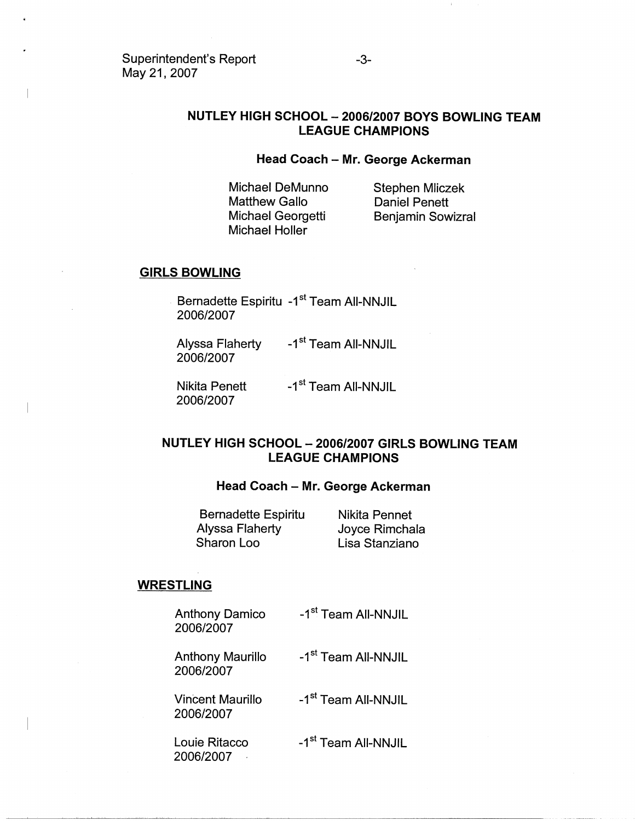## **NUTLEY HIGH SCHOOL** - **2006/2007 BOYS BOWLING TEAM LEAGUE CHAMPIONS**

## **Head Coach - Mr. George Ackerman**

Michael DeMunno Matthew Gallo Michael Georgetti Michael Holler

Stephen Mliczek Daniel Penett Benjamin Sowizral

## **GIRLS BOWLING**

Bernadette Espiritu -1<sup>st</sup> Team All-NNJIL 2006/2007

Alyssa Flaherty 2006/2007 -1<sup>st</sup> Team All-NNJIL

Nikita Penett 2006/2007 -1<sup>st</sup> Team All-NNJIL

## **NUTLEY HIGH SCHOOL** - **2006/2007 GIRLS BOWLING TEAM LEAGUE CHAMPIONS**

#### **Head Coach - Mr. George Ackerman**

Bernadette Espiritu Alyssa Flaherty Sharon Loo

Nikita Pennet Joyce Rimchala Lisa Stanziano

#### **WRESTLING**

Anthony Damico 2006/2007 -1<sup>st</sup> Team All-NNJIL

Anthony Maurillo 2006/2007 -1<sup>st</sup> Team All-NNJIL

Vincent Maurillo 2006/2007

-1<sup>st</sup> Team All-NNJIL

Louie Ritacco 2006/2007 ·

-1<sup>st</sup> Team All-NNJIL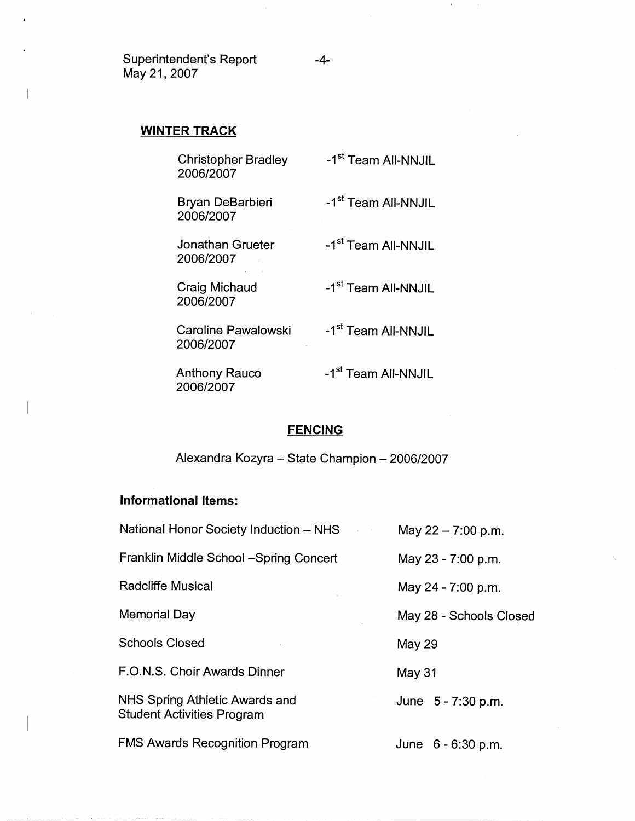Superintendent's Report -4- May 21, 2007

## **WINTER TRACK**

| <b>Christopher Bradley</b><br>2006/2007 | -1 <sup>st</sup> Team All-NNJIL |
|-----------------------------------------|---------------------------------|
| Bryan DeBarbieri<br>2006/2007           | -1 <sup>st</sup> Team All-NNJIL |
| Jonathan Grueter<br>2006/2007           | -1 <sup>st</sup> Team All-NNJIL |
| Craig Michaud<br>2006/2007              | -1 <sup>st</sup> Team All-NNJIL |
| Caroline Pawalowski<br>2006/2007        | -1 <sup>st</sup> Team All-NNJIL |
| <b>Anthony Rauco</b><br>2006/2007       | -1 <sup>st</sup> Team All-NNJIL |

# **FENCING**

Alexandra Kozyra - State Champion - 2006/2007

# **Informational Items:**

| National Honor Society Induction – NHS                       | May 22 - 7:00 p.m.      |
|--------------------------------------------------------------|-------------------------|
| Franklin Middle School -Spring Concert                       | May 23 - 7:00 p.m.      |
| <b>Radcliffe Musical</b>                                     | May 24 - 7:00 p.m.      |
| Memorial Day                                                 | May 28 - Schools Closed |
| <b>Schools Closed</b>                                        | May 29                  |
| F.O.N.S. Choir Awards Dinner                                 | May 31                  |
| NHS Spring Athletic Awards and<br>Student Activities Program | June 5 - 7:30 p.m.      |
| <b>FMS Awards Recognition Program</b>                        | June $6 - 6:30$ p.m.    |